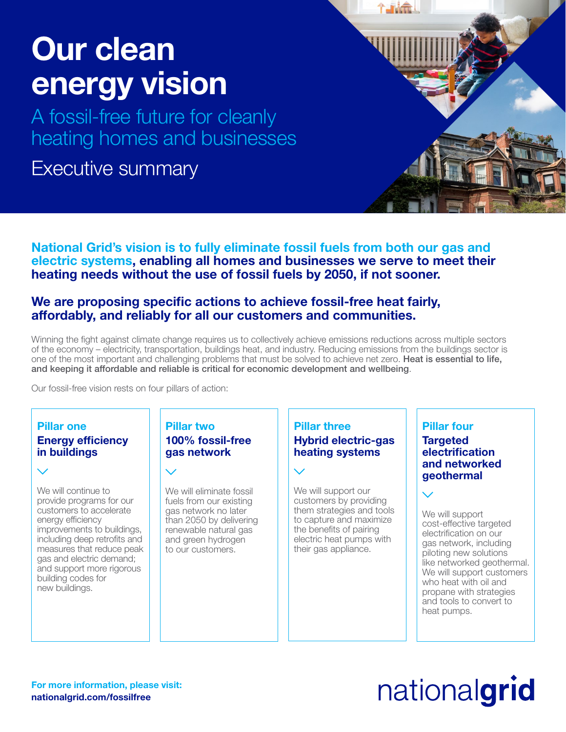## Our clean energy vision

A fossil-free future for cleanly heating homes and businesses

## Executive summary

National Grid's vision is to fully eliminate fossil fuels from both our gas and electric systems, enabling all homes and businesses we serve to meet their heating needs without the use of fossil fuels by 2050, if not sooner.

### We are proposing specific actions to achieve fossil-free heat fairly, affordably, and reliably for all our customers and communities.

Winning the fight against climate change requires us to collectively achieve emissions reductions across multiple sectors of the economy – electricity, transportation, buildings heat, and industry. Reducing emissions from the buildings sector is one of the most important and challenging problems that must be solved to achieve net zero. Heat is essential to life, and keeping it affordable and reliable is critical for economic development and wellbeing.

Our fossil-free vision rests on four pillars of action:

### Pillar one Energy efficiency in buildings

We will continue to provide programs for our customers to accelerate energy efficiency improvements to buildings, including deep retrofits and measures that reduce peak gas and electric demand; and support more rigorous building codes for new buildings.

#### Pillar two 100% fossil-free gas network

We will eliminate fossil fuels from our existing gas network no later than 2050 by delivering renewable natural gas and green hydrogen to our customers.

#### Pillar three Hybrid electric-gas heating systems

We will support our customers by providing them strategies and tools to capture and maximize the benefits of pairing electric heat pumps with their gas appliance.

#### Pillar four **Targeted** electrification and networked geothermal

We will support cost-effective targeted electrification on our gas network, including piloting new solutions like networked geothermal. We will support customers who heat with oil and propane with strategies and tools to convert to heat pumps.

#### For more information, please visit: nationalgrid.com/fossilfree

# nationalgrid